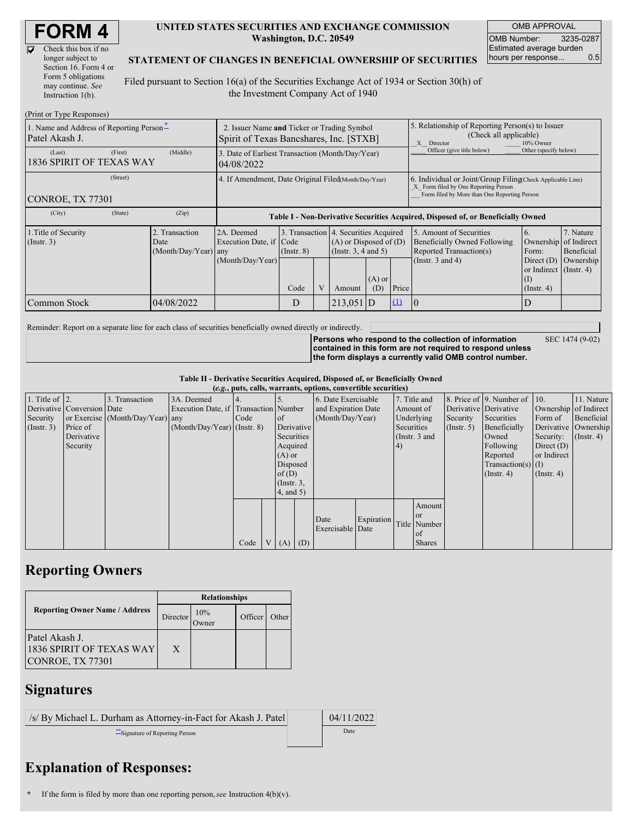| Check this box if no  |
|-----------------------|
| longer subject to     |
| Section 16. Form 4 or |
| Form 5 obligations    |
| may continue. See     |
| Instruction 1(b).     |

 $(Drint or Trma D)$ 

D

#### **UNITED STATES SECURITIES AND EXCHANGE COMMISSION Washington, D.C. 20549**

OMB APPROVAL OMB Number: 3235-0287 Estimated average burden hours per response... 0.5

### **STATEMENT OF CHANGES IN BENEFICIAL OWNERSHIP OF SECURITIES**

Filed pursuant to Section 16(a) of the Securities Exchange Act of 1934 or Section 30(h) of the Investment Company Act of 1940

| $(1 \text{ min} \text{ of } 1 \text{ ypc} \text{ respectively})$<br>1. Name and Address of Reporting Person-<br>Patel Akash J. | 2. Issuer Name and Ticker or Trading Symbol<br>Spirit of Texas Bancshares, Inc. [STXB] |                                                                                  |                 |   |                                                                                                 |                 | 5. Relationship of Reporting Person(s) to Issuer<br>(Check all applicable)<br>X Director<br>10% Owner                                              |                                                                                    |                                                                                |                                        |
|--------------------------------------------------------------------------------------------------------------------------------|----------------------------------------------------------------------------------------|----------------------------------------------------------------------------------|-----------------|---|-------------------------------------------------------------------------------------------------|-----------------|----------------------------------------------------------------------------------------------------------------------------------------------------|------------------------------------------------------------------------------------|--------------------------------------------------------------------------------|----------------------------------------|
| (First)<br>(Last)<br>1836 SPIRIT OF TEXAS WAY                                                                                  | 3. Date of Earliest Transaction (Month/Day/Year)<br>04/08/2022                         |                                                                                  |                 |   |                                                                                                 |                 | Officer (give title below)                                                                                                                         | Other (specify below)                                                              |                                                                                |                                        |
| (Street)<br>CONROE, TX 77301                                                                                                   | 4. If Amendment, Date Original Filed(Month/Day/Year)                                   |                                                                                  |                 |   |                                                                                                 |                 | 6. Individual or Joint/Group Filing Check Applicable Line)<br>X Form filed by One Reporting Person<br>Form filed by More than One Reporting Person |                                                                                    |                                                                                |                                        |
| (State)<br>(City)                                                                                                              | (Zip)                                                                                  | Table I - Non-Derivative Securities Acquired, Disposed of, or Beneficially Owned |                 |   |                                                                                                 |                 |                                                                                                                                                    |                                                                                    |                                                                                |                                        |
| 1. Title of Security<br>$($ Instr. 3 $)$                                                                                       | 2. Transaction<br>Date<br>(Month/Day/Year) any                                         | 2A. Deemed<br>Execution Date, if Code                                            | $($ Instr. $8)$ |   | 3. Transaction 4. Securities Acquired<br>$(A)$ or Disposed of $(D)$<br>(Instr. $3, 4$ and $5$ ) |                 |                                                                                                                                                    | 5. Amount of Securities<br>Beneficially Owned Following<br>Reported Transaction(s) | 6.<br>Ownership<br>Form:                                                       | 7. Nature<br>of Indirect<br>Beneficial |
|                                                                                                                                |                                                                                        | (Month/Day/Year)                                                                 | Code            | V | Amount                                                                                          | $(A)$ or<br>(D) | Price                                                                                                                                              | (Instr. 3 and 4)                                                                   | Direct $(D)$<br>or Indirect $ $ (Instr. 4)<br>$\rm _{(1)}$<br>$($ Instr. 4 $)$ | Ownership                              |
| Common Stock                                                                                                                   | 04/08/2022                                                                             |                                                                                  | D               |   | 213,051 D                                                                                       |                 | $\Omega$                                                                                                                                           | 10                                                                                 |                                                                                |                                        |

Reminder: Report on a separate line for each class of securities beneficially owned directly or indirectly.

**Persons who respond to the collection of information contained in this form are not required to respond unless the form displays a currently valid OMB control number.** SEC 1474 (9-02)

**Table II - Derivative Securities Acquired, Disposed of, or Beneficially Owned**

| (e.g., puts, calls, warrants, options, convertible securities) |                            |                                  |                                       |      |  |                    |                  |                     |            |               |                  |                      |                              |                       |                  |  |  |  |  |
|----------------------------------------------------------------|----------------------------|----------------------------------|---------------------------------------|------|--|--------------------|------------------|---------------------|------------|---------------|------------------|----------------------|------------------------------|-----------------------|------------------|--|--|--|--|
| 1. Title of $\vert$ 2.                                         |                            | 3. Transaction                   | 3A. Deemed                            |      |  |                    |                  | 6. Date Exercisable |            |               | 7. Title and     |                      | 8. Price of 9. Number of 10. |                       | 11. Nature       |  |  |  |  |
|                                                                | Derivative Conversion Date |                                  | Execution Date, if Transaction Number |      |  |                    |                  | and Expiration Date |            | Amount of     |                  |                      | Derivative Derivative        | Ownership of Indirect |                  |  |  |  |  |
| Security                                                       |                            | or Exercise (Month/Day/Year) any |                                       | Code |  | of                 | (Month/Day/Year) |                     |            |               | Underlying       | Security             | Securities                   | Form of               | Beneficial       |  |  |  |  |
| $($ Instr. 3 $)$                                               | Price of                   |                                  | $(Month/Day/Year)$ (Instr. 8)         |      |  | Derivative         |                  |                     | Securities |               | $($ Instr. 5 $)$ | Beneficially         |                              | Derivative Ownership  |                  |  |  |  |  |
|                                                                | Derivative                 |                                  |                                       |      |  | Securities         |                  |                     |            | (Instr. 3 and |                  |                      | Owned                        | Security:             | $($ Instr. 4 $)$ |  |  |  |  |
|                                                                | Security                   |                                  |                                       |      |  | Acquired           |                  |                     |            | 4)            |                  |                      | Following                    | Direct $(D)$          |                  |  |  |  |  |
|                                                                |                            |                                  |                                       |      |  | $(A)$ or           |                  |                     |            |               |                  |                      | Reported                     | or Indirect           |                  |  |  |  |  |
|                                                                |                            |                                  |                                       |      |  | Disposed           |                  |                     |            |               |                  | Transaction(s) $(I)$ |                              |                       |                  |  |  |  |  |
|                                                                |                            |                                  |                                       |      |  | of $(D)$           |                  |                     |            |               |                  |                      | $($ Instr. 4 $)$             | $($ Instr. 4 $)$      |                  |  |  |  |  |
|                                                                |                            |                                  |                                       |      |  | $($ Instr. 3,      |                  |                     |            |               |                  |                      |                              |                       |                  |  |  |  |  |
|                                                                |                            |                                  |                                       |      |  | $\vert 4$ , and 5) |                  |                     |            |               |                  |                      |                              |                       |                  |  |  |  |  |
|                                                                |                            |                                  |                                       |      |  |                    |                  |                     |            |               | Amount           |                      |                              |                       |                  |  |  |  |  |
|                                                                |                            |                                  |                                       |      |  |                    |                  |                     |            |               | <b>or</b>        |                      |                              |                       |                  |  |  |  |  |
|                                                                |                            |                                  |                                       |      |  |                    |                  |                     |            | Date          |                  |                      | Expiration                   |                       | Title Number     |  |  |  |  |
|                                                                |                            |                                  |                                       |      |  |                    |                  | Exercisable Date    |            |               | of               |                      |                              |                       |                  |  |  |  |  |
|                                                                |                            |                                  |                                       | Code |  | (A)                | (D)              |                     |            |               | <b>Shares</b>    |                      |                              |                       |                  |  |  |  |  |

## **Reporting Owners**

|                                                                       | <b>Relationships</b> |     |         |       |  |  |  |  |
|-----------------------------------------------------------------------|----------------------|-----|---------|-------|--|--|--|--|
| <b>Reporting Owner Name / Address</b>                                 | Director             | 10% | Officer | Other |  |  |  |  |
| Patel Akash J.<br>1836 SPIRIT OF TEXAS WAY<br><b>CONROE, TX 77301</b> | X                    |     |         |       |  |  |  |  |

## **Signatures**

| /s/ By Michael L. Durham as Attorney-in-Fact for Akash J. Patel | 04/11/2022 |
|-----------------------------------------------------------------|------------|
| Signature of Reporting Person                                   | Date       |

# **Explanation of Responses:**

**<sup>\*</sup>** If the form is filed by more than one reporting person,*see* Instruction 4(b)(v).